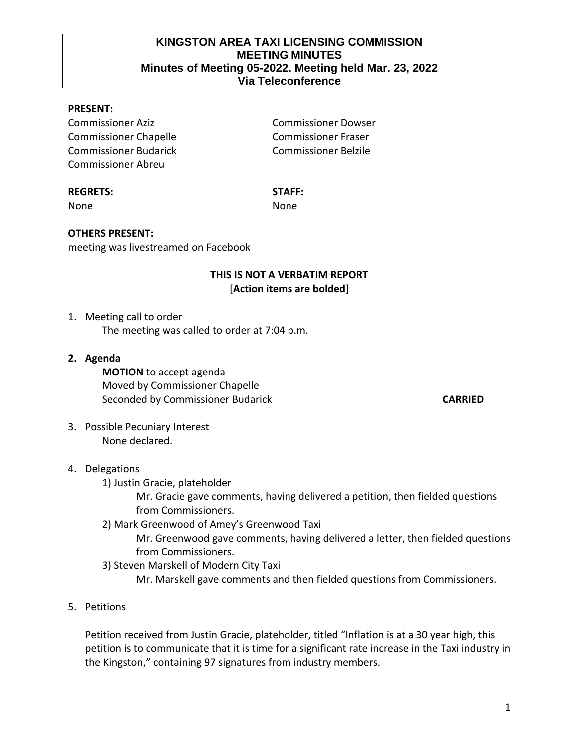#### **KINGSTON AREA TAXI LICENSING COMMISSION MEETING MINUTES Minutes of Meeting 05-2022. Meeting held Mar. 23, 2022 Via Teleconference**

#### **PRESENT:**

Commissioner Aziz Commissioner Dowser Commissioner Chapelle Commissioner Fraser Commissioner Budarick Commissioner Belzile Commissioner Abreu

#### **REGRETS: STAFF:**

None **None** None

#### **OTHERS PRESENT:**

meeting was livestreamed on Facebook

#### **THIS IS NOT A VERBATIM REPORT** [**Action items are bolded**]

1. Meeting call to order The meeting was called to order at 7:04 p.m.

**2. Agenda**

**MOTION** to accept agenda Moved by Commissioner Chapelle Seconded by Commissioner Budarick **CARRIED** 

3. Possible Pecuniary Interest None declared.

#### 4. Delegations

1) Justin Gracie, plateholder

Mr. Gracie gave comments, having delivered a petition, then fielded questions from Commissioners.

2) Mark Greenwood of Amey's Greenwood Taxi

Mr. Greenwood gave comments, having delivered a letter, then fielded questions from Commissioners.

3) Steven Marskell of Modern City Taxi

Mr. Marskell gave comments and then fielded questions from Commissioners.

5. Petitions

Petition received from Justin Gracie, plateholder, titled "Inflation is at a 30 year high, this petition is to communicate that it is time for a significant rate increase in the Taxi industry in the Kingston," containing 97 signatures from industry members.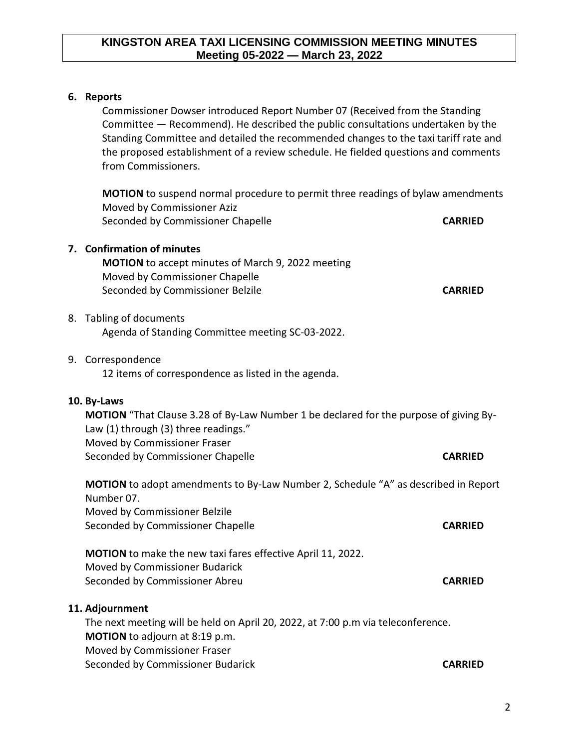### **KINGSTON AREA TAXI LICENSING COMMISSION MEETING MINUTES Meeting 05-2022 — March 23, 2022**

#### **6. Reports**

Commissioner Dowser introduced Report Number 07 (Received from the Standing Committee — Recommend). He described the public consultations undertaken by the Standing Committee and detailed the recommended changes to the taxi tariff rate and the proposed establishment of a review schedule. He fielded questions and comments from Commissioners.

**MOTION** to suspend normal procedure to permit three readings of bylaw amendments Moved by Commissioner Aziz Seconded by Commissioner Chapelle **CARRIED CARRIED** 

# **7. Confirmation of minutes MOTION** to accept minutes of March 9, 2022 meeting Moved by Commissioner Chapelle Seconded by Commissioner Belzile **CARRIED** 8. Tabling of documents Agenda of Standing Committee meeting SC-03-2022. 9. Correspondence 12 items of correspondence as listed in the agenda. **10. By-Laws MOTION** "That Clause 3.28 of By-Law Number 1 be declared for the purpose of giving By-Law (1) through (3) three readings." Moved by Commissioner Fraser Seconded by Commissioner Chapelle **CARRIED MOTION** to adopt amendments to By-Law Number 2, Schedule "A" as described in Report Number 07. Moved by Commissioner Belzile Seconded by Commissioner Chapelle **CARRIED MOTION** to make the new taxi fares effective April 11, 2022.

Moved by Commissioner Budarick Seconded by Commissioner Abreu **CARRIED**

#### **11. Adjournment**

The next meeting will be held on April 20, 2022, at 7:00 p.m via teleconference. **MOTION** to adjourn at 8:19 p.m. Moved by Commissioner Fraser Seconded by Commissioner Budarick **CARRIED**